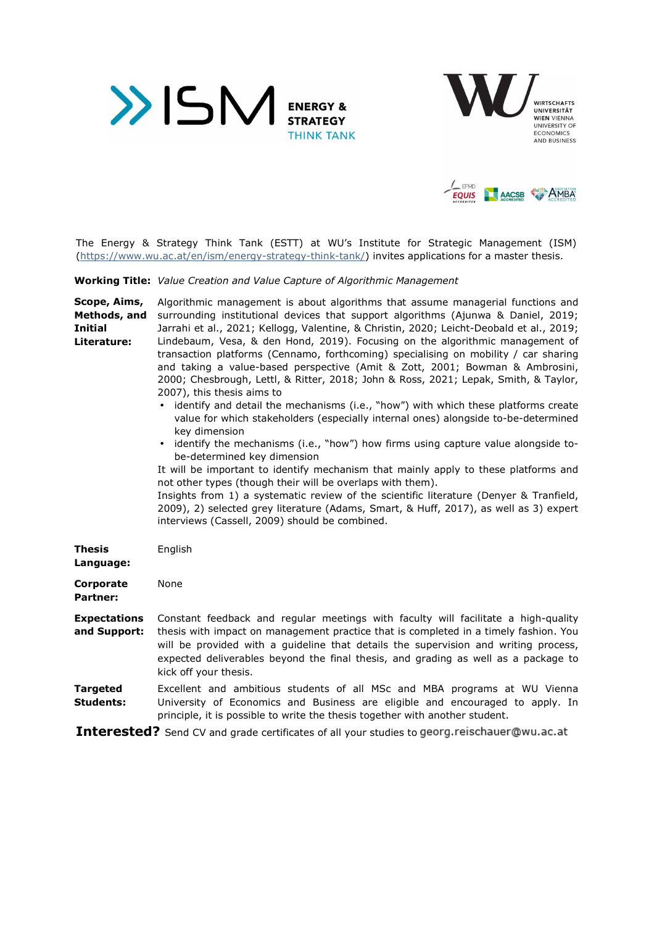





The Energy & Strategy Think Tank (ESTT) at WU's Institute for Strategic Management (ISM) (https://www.wu.ac.at/en/ism/energy-strategy-think-tank/) invites applications for a master thesis.

**Working Title:** *Value Creation and Value Capture of Algorithmic Management* 

**Scope, Aims, Methods, and Initial Literature:**  Algorithmic management is about algorithms that assume managerial functions and surrounding institutional devices that support algorithms (Ajunwa & Daniel, 2019; Jarrahi et al., 2021; Kellogg, Valentine, & Christin, 2020; Leicht-Deobald et al., 2019; Lindebaum, Vesa, & den Hond, 2019). Focusing on the algorithmic management of transaction platforms (Cennamo, forthcoming) specialising on mobility / car sharing and taking a value-based perspective (Amit & Zott, 2001; Bowman & Ambrosini, 2000; Chesbrough, Lettl, & Ritter, 2018; John & Ross, 2021; Lepak, Smith, & Taylor, 2007), this thesis aims to

- identify and detail the mechanisms (i.e., "how") with which these platforms create value for which stakeholders (especially internal ones) alongside to-be-determined key dimension
- identify the mechanisms (i.e., "how") how firms using capture value alongside tobe-determined key dimension

It will be important to identify mechanism that mainly apply to these platforms and not other types (though their will be overlaps with them).

Insights from 1) a systematic review of the scientific literature (Denyer & Tranfield, 2009), 2) selected grey literature (Adams, Smart, & Huff, 2017), as well as 3) expert interviews (Cassell, 2009) should be combined.

| Thesis<br>Language:                 | English                                                                                                                                                                                                                                                                                                                                                                          |
|-------------------------------------|----------------------------------------------------------------------------------------------------------------------------------------------------------------------------------------------------------------------------------------------------------------------------------------------------------------------------------------------------------------------------------|
| Corporate<br>Partner:               | None                                                                                                                                                                                                                                                                                                                                                                             |
| <b>Expectations</b><br>and Support: | Constant feedback and regular meetings with faculty will facilitate a high-guality<br>thesis with impact on management practice that is completed in a timely fashion. You<br>will be provided with a quideline that details the supervision and writing process,<br>expected deliverables beyond the final thesis, and grading as well as a package to<br>kick off your thesis. |
| Targeted<br>Students:               | Excellent and ambitious students of all MSc and MBA programs at WU Vienna<br>University of Economics and Business are eligible and encouraged to apply. In<br>principle, it is possible to write the thesis together with another student.                                                                                                                                       |

**Interested?** Send CV and grade certificates of all your studies to georg.reischauer@wu.ac.at